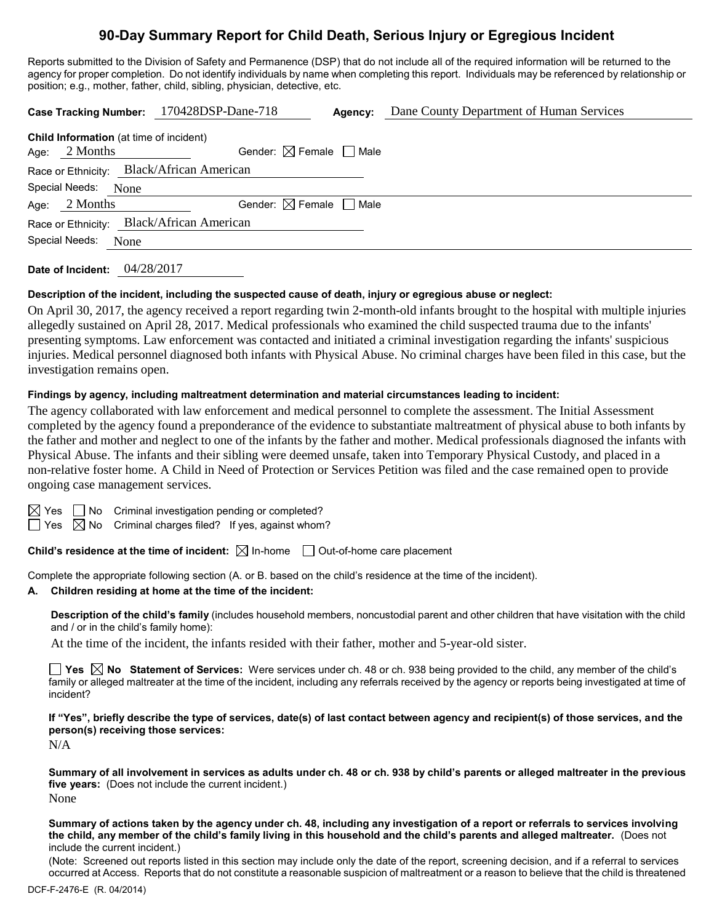# **90-Day Summary Report for Child Death, Serious Injury or Egregious Incident**

Reports submitted to the Division of Safety and Permanence (DSP) that do not include all of the required information will be returned to the agency for proper completion. Do not identify individuals by name when completing this report. Individuals may be referenced by relationship or position; e.g., mother, father, child, sibling, physician, detective, etc.

| <b>Child Information</b> (at time of incident) |                                                                            |                                        |
|------------------------------------------------|----------------------------------------------------------------------------|----------------------------------------|
| 2 Months                                       | Gender: $\boxtimes$ Female $\Box$ Male                                     |                                        |
|                                                |                                                                            |                                        |
| Special Needs:<br>None                         |                                                                            |                                        |
| 2 Months                                       |                                                                            |                                        |
| Race or Ethnicity:                             |                                                                            |                                        |
| Special Needs:<br>None                         |                                                                            |                                        |
|                                                | Race or Ethnicity: Black/African American<br><b>Black/African American</b> | Gender: $\boxtimes$ Female $\Box$ Male |

**Date of Incident:** 04/28/2017

### **Description of the incident, including the suspected cause of death, injury or egregious abuse or neglect:**

On April 30, 2017, the agency received a report regarding twin 2-month-old infants brought to the hospital with multiple injuries allegedly sustained on April 28, 2017. Medical professionals who examined the child suspected trauma due to the infants' presenting symptoms. Law enforcement was contacted and initiated a criminal investigation regarding the infants' suspicious injuries. Medical personnel diagnosed both infants with Physical Abuse. No criminal charges have been filed in this case, but the investigation remains open.

### **Findings by agency, including maltreatment determination and material circumstances leading to incident:**

The agency collaborated with law enforcement and medical personnel to complete the assessment. The Initial Assessment completed by the agency found a preponderance of the evidence to substantiate maltreatment of physical abuse to both infants by the father and mother and neglect to one of the infants by the father and mother. Medical professionals diagnosed the infants with Physical Abuse. The infants and their sibling were deemed unsafe, taken into Temporary Physical Custody, and placed in a non-relative foster home. A Child in Need of Protection or Services Petition was filed and the case remained open to provide ongoing case management services.

 $\boxtimes$  Yes  $\Box$  No Criminal investigation pending or completed?

 $\Box$  Yes  $\boxtimes$  No Criminal charges filed? If yes, against whom?

**Child's residence at the time of incident:**  $\boxtimes$  In-home  $\Box$  Out-of-home care placement

Complete the appropriate following section (A. or B. based on the child's residence at the time of the incident).

#### **A. Children residing at home at the time of the incident:**

**Description of the child's family** (includes household members, noncustodial parent and other children that have visitation with the child and / or in the child's family home):

At the time of the incident, the infants resided with their father, mother and 5-year-old sister.

**Yes No Statement of Services:** Were services under ch. 48 or ch. 938 being provided to the child, any member of the child's family or alleged maltreater at the time of the incident, including any referrals received by the agency or reports being investigated at time of incident?

**If "Yes", briefly describe the type of services, date(s) of last contact between agency and recipient(s) of those services, and the person(s) receiving those services:**

N/A

**Summary of all involvement in services as adults under ch. 48 or ch. 938 by child's parents or alleged maltreater in the previous five years:** (Does not include the current incident.) None

**Summary of actions taken by the agency under ch. 48, including any investigation of a report or referrals to services involving the child, any member of the child's family living in this household and the child's parents and alleged maltreater.** (Does not include the current incident.)

(Note: Screened out reports listed in this section may include only the date of the report, screening decision, and if a referral to services occurred at Access. Reports that do not constitute a reasonable suspicion of maltreatment or a reason to believe that the child is threatened